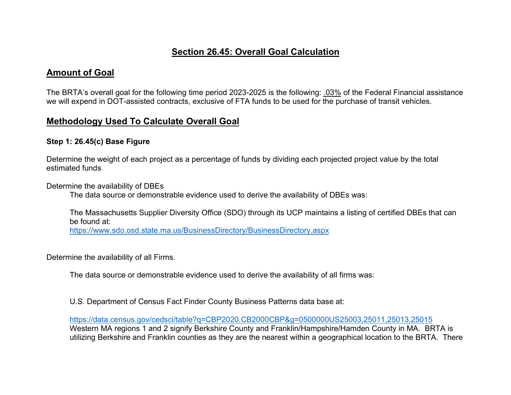## Section 26.45: Overall Goal Calculation

## Amount of Goal

The BRTA's overall goal for the following time period 2023-2025 is the following: .03% of the Federal Financial assistance we will expend in DOT-assisted contracts, exclusive of FTA funds to be used for the purchase of transit vehicles.

## Methodology Used To Calculate Overall Goal

## Step 1: 26.45(c) Base Figure

Determine the weight of each project as a percentage of funds by dividing each projected project value by the total estimated funds

Determine the availability of DBEs

The data source or demonstrable evidence used to derive the availability of DBEs was:

The Massachusetts Supplier Diversity Office (SDO) through its UCP maintains a listing of certified DBEs that can be found at:

https://www.sdo.osd.state.ma.us/BusinessDirectory/BusinessDirectory.aspx

Determine the availability of all Firms.

The data source or demonstrable evidence used to derive the availability of all firms was:

U.S. Department of Census Fact Finder County Business Patterns data base at:

https://data.census.gov/cedsci/table?q=CBP2020.CB2000CBP&g=0500000US25003,25011,25013,25015 Western MA regions 1 and 2 signify Berkshire County and Franklin/Hampshire/Hamden County in MA. BRTA is utilizing Berkshire and Franklin counties as they are the nearest within a geographical location to the BRTA. There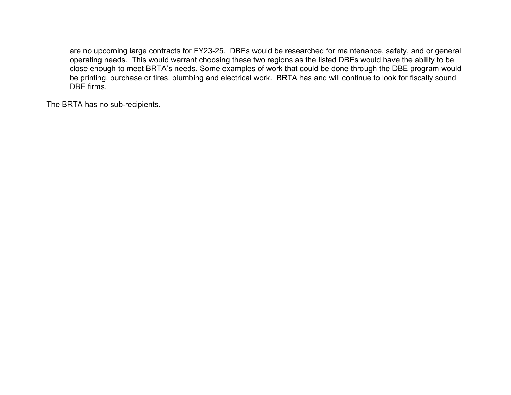are no upcoming large contracts for FY23-25. DBEs would be researched for maintenance, safety, and or general operating needs. This would warrant choosing these two regions as the listed DBEs would have the ability to be close enough to meet BRTA's needs. Some examples of work that could be done through the DBE program would be printing, purchase or tires, plumbing and electrical work. BRTA has and will continue to look for fiscally sound DBE firms.

The BRTA has no sub-recipients.